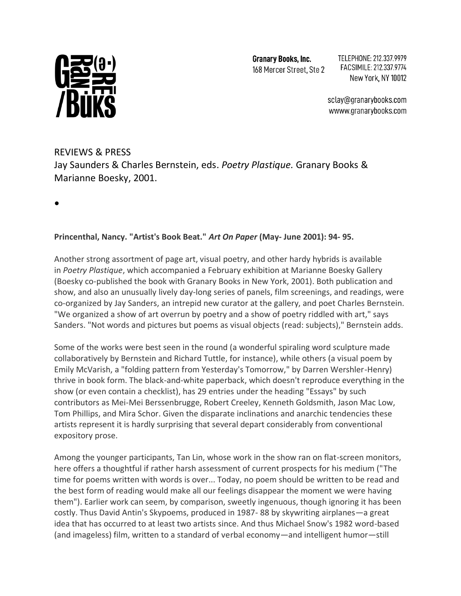

**Granary Books, Inc.** 168 Mercer Street, Ste 2 TELEPHONE: 212.337.9979 FACSIMILE: 212.337.9774 New York, NY 10012

sclay@granarybooks.com wwww.granarybooks.com

## REVIEWS & PRESS Jay Saunders & Charles Bernstein, eds. *Poetry Plastique.* Granary Books & Marianne Boesky, 2001.

**•**

## **Princenthal, Nancy. "Artist's Book Beat."** *Art On Paper* **(May- June 2001): 94- 95.**

Another strong assortment of page art, visual poetry, and other hardy hybrids is available in *Poetry Plastique*, which accompanied a February exhibition at Marianne Boesky Gallery (Boesky co-published the book with Granary Books in New York, 2001). Both publication and show, and also an unusually lively day-long series of panels, film screenings, and readings, were co-organized by Jay Sanders, an intrepid new curator at the gallery, and poet Charles Bernstein. "We organized a show of art overrun by poetry and a show of poetry riddled with art," says Sanders. "Not words and pictures but poems as visual objects (read: subjects)," Bernstein adds.

Some of the works were best seen in the round (a wonderful spiraling word sculpture made collaboratively by Bernstein and Richard Tuttle, for instance), while others (a visual poem by Emily McVarish, a "folding pattern from Yesterday's Tomorrow," by Darren Wershler-Henry) thrive in book form. The black-and-white paperback, which doesn't reproduce everything in the show (or even contain a checklist), has 29 entries under the heading "Essays" by such contributors as Mei-Mei Berssenbrugge, Robert Creeley, Kenneth Goldsmith, Jason Mac Low, Tom Phillips, and Mira Schor. Given the disparate inclinations and anarchic tendencies these artists represent it is hardly surprising that several depart considerably from conventional expository prose.

Among the younger participants, Tan Lin, whose work in the show ran on flat-screen monitors, here offers a thoughtful if rather harsh assessment of current prospects for his medium ("The time for poems written with words is over... Today, no poem should be written to be read and the best form of reading would make all our feelings disappear the moment we were having them"). Earlier work can seem, by comparison, sweetly ingenuous, though ignoring it has been costly. Thus David Antin's Skypoems, produced in 1987- 88 by skywriting airplanes—a great idea that has occurred to at least two artists since. And thus Michael Snow's 1982 word-based (and imageless) film, written to a standard of verbal economy—and intelligent humor—still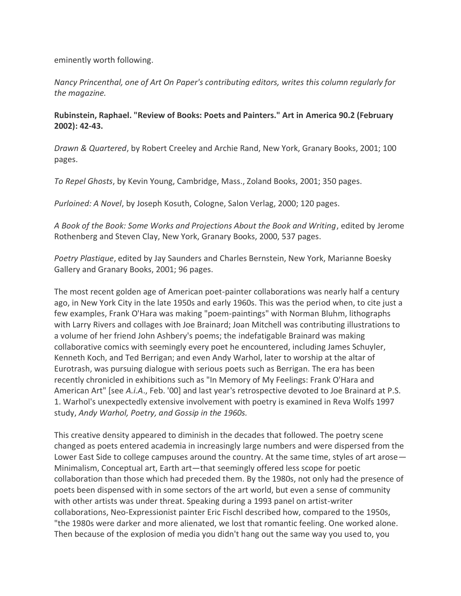eminently worth following.

*Nancy Princenthal, one of Art On Paper's contributing editors, writes this column regularly for the magazine.*

## **Rubinstein, Raphael. "Review of Books: Poets and Painters." Art in America 90.2 (February 2002): 42-43.**

*Drawn & Quartered*, by Robert Creeley and Archie Rand, New York, Granary Books, 2001; 100 pages.

*To Repel Ghosts*, by Kevin Young, Cambridge, Mass., Zoland Books, 2001; 350 pages.

*Purloined: A Novel*, by Joseph Kosuth, Cologne, Salon Verlag, 2000; 120 pages.

*A Book of the Book: Some Works and Projections About the Book and Writing*, edited by Jerome Rothenberg and Steven Clay, New York, Granary Books, 2000, 537 pages.

*Poetry Plastique*, edited by Jay Saunders and Charles Bernstein, New York, Marianne Boesky Gallery and Granary Books, 2001; 96 pages.

The most recent golden age of American poet-painter collaborations was nearly half a century ago, in New York City in the late 1950s and early 1960s. This was the period when, to cite just a few examples, Frank O'Hara was making "poem-paintings" with Norman Bluhm, lithographs with Larry Rivers and collages with Joe Brainard; Joan Mitchell was contributing illustrations to a volume of her friend John Ashbery's poems; the indefatigable Brainard was making collaborative comics with seemingly every poet he encountered, including James Schuyler, Kenneth Koch, and Ted Berrigan; and even Andy Warhol, later to worship at the altar of Eurotrash, was pursuing dialogue with serious poets such as Berrigan. The era has been recently chronicled in exhibitions such as "In Memory of My Feelings: Frank O'Hara and American Art" [see *A.i.A*., Feb. '00] and last year's retrospective devoted to Joe Brainard at P.S. 1. Warhol's unexpectedly extensive involvement with poetry is examined in Reva Wolfs 1997 study, *Andy Warhol, Poetry, and Gossip in the 1960s.*

This creative density appeared to diminish in the decades that followed. The poetry scene changed as poets entered academia in increasingly large numbers and were dispersed from the Lower East Side to college campuses around the country. At the same time, styles of art arose— Minimalism, Conceptual art, Earth art—that seemingly offered less scope for poetic collaboration than those which had preceded them. By the 1980s, not only had the presence of poets been dispensed with in some sectors of the art world, but even a sense of community with other artists was under threat. Speaking during a 1993 panel on artist-writer collaborations, Neo-Expressionist painter Eric Fischl described how, compared to the 1950s, "the 1980s were darker and more alienated, we lost that romantic feeling. One worked alone. Then because of the explosion of media you didn't hang out the same way you used to, you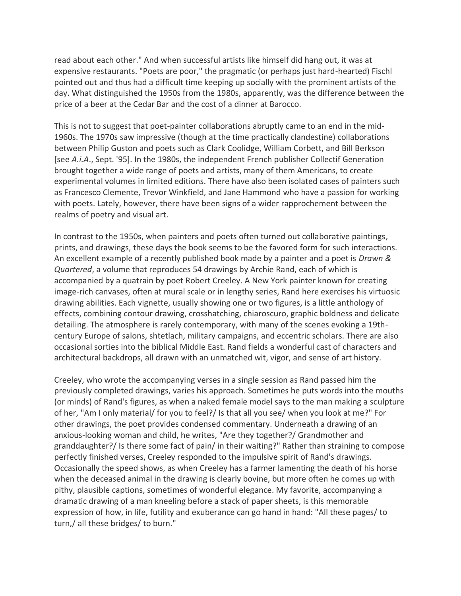read about each other." And when successful artists like himself did hang out, it was at expensive restaurants. "Poets are poor," the pragmatic (or perhaps just hard-hearted) Fischl pointed out and thus had a difficult time keeping up socially with the prominent artists of the day. What distinguished the 1950s from the 1980s, apparently, was the difference between the price of a beer at the Cedar Bar and the cost of a dinner at Barocco.

This is not to suggest that poet-painter collaborations abruptly came to an end in the mid-1960s. The 1970s saw impressive (though at the time practically clandestine) collaborations between Philip Guston and poets such as Clark Coolidge, William Corbett, and Bill Berkson [see *A.i.A*., Sept. '95]. In the 1980s, the independent French publisher Collectif Generation brought together a wide range of poets and artists, many of them Americans, to create experimental volumes in limited editions. There have also been isolated cases of painters such as Francesco Clemente, Trevor Winkfield, and Jane Hammond who have a passion for working with poets. Lately, however, there have been signs of a wider rapprochement between the realms of poetry and visual art.

In contrast to the 1950s, when painters and poets often turned out collaborative paintings, prints, and drawings, these days the book seems to be the favored form for such interactions. An excellent example of a recently published book made by a painter and a poet is *Drawn & Quartered*, a volume that reproduces 54 drawings by Archie Rand, each of which is accompanied by a quatrain by poet Robert Creeley. A New York painter known for creating image-rich canvases, often at mural scale or in lengthy series, Rand here exercises his virtuosic drawing abilities. Each vignette, usually showing one or two figures, is a little anthology of effects, combining contour drawing, crosshatching, chiaroscuro, graphic boldness and delicate detailing. The atmosphere is rarely contemporary, with many of the scenes evoking a 19thcentury Europe of salons, shtetlach, military campaigns, and eccentric scholars. There are also occasional sorties into the biblical Middle East. Rand fields a wonderful cast of characters and architectural backdrops, all drawn with an unmatched wit, vigor, and sense of art history.

Creeley, who wrote the accompanying verses in a single session as Rand passed him the previously completed drawings, varies his approach. Sometimes he puts words into the mouths (or minds) of Rand's figures, as when a naked female model says to the man making a sculpture of her, "Am I only material/ for you to feel?/ Is that all you see/ when you look at me?" For other drawings, the poet provides condensed commentary. Underneath a drawing of an anxious-looking woman and child, he writes, "Are they together?/ Grandmother and granddaughter?/ Is there some fact of pain/ in their waiting?" Rather than straining to compose perfectly finished verses, Creeley responded to the impulsive spirit of Rand's drawings. Occasionally the speed shows, as when Creeley has a farmer lamenting the death of his horse when the deceased animal in the drawing is clearly bovine, but more often he comes up with pithy, plausible captions, sometimes of wonderful elegance. My favorite, accompanying a dramatic drawing of a man kneeling before a stack of paper sheets, is this memorable expression of how, in life, futility and exuberance can go hand in hand: "All these pages/ to turn,/ all these bridges/ to burn."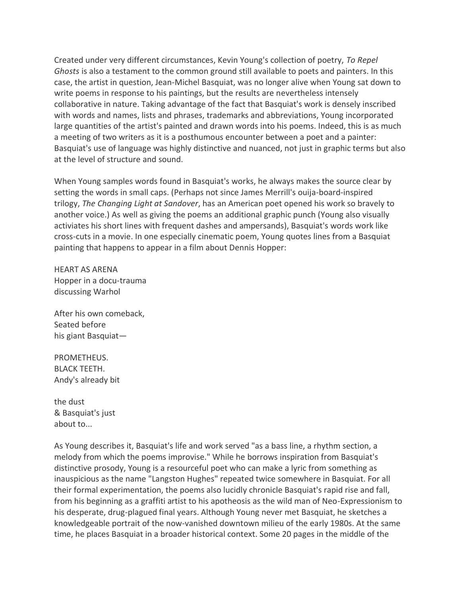Created under very different circumstances, Kevin Young's collection of poetry, *To Repel Ghosts* is also a testament to the common ground still available to poets and painters. In this case, the artist in question, Jean-Michel Basquiat, was no longer alive when Young sat down to write poems in response to his paintings, but the results are nevertheless intensely collaborative in nature. Taking advantage of the fact that Basquiat's work is densely inscribed with words and names, lists and phrases, trademarks and abbreviations, Young incorporated large quantities of the artist's painted and drawn words into his poems. Indeed, this is as much a meeting of two writers as it is a posthumous encounter between a poet and a painter: Basquiat's use of language was highly distinctive and nuanced, not just in graphic terms but also at the level of structure and sound.

When Young samples words found in Basquiat's works, he always makes the source clear by setting the words in small caps. (Perhaps not since James Merrill's ouija-board-inspired trilogy, *The Changing Light at Sandover*, has an American poet opened his work so bravely to another voice.) As well as giving the poems an additional graphic punch (Young also visually activiates his short lines with frequent dashes and ampersands), Basquiat's words work like cross-cuts in a movie. In one especially cinematic poem, Young quotes lines from a Basquiat painting that happens to appear in a film about Dennis Hopper:

HEART AS ARENA Hopper in a docu-trauma discussing Warhol

After his own comeback, Seated before his giant Basquiat—

PROMETHEUS. BLACK TEETH. Andy's already bit

the dust & Basquiat's just about to...

As Young describes it, Basquiat's life and work served "as a bass line, a rhythm section, a melody from which the poems improvise." While he borrows inspiration from Basquiat's distinctive prosody, Young is a resourceful poet who can make a lyric from something as inauspicious as the name "Langston Hughes" repeated twice somewhere in Basquiat. For all their formal experimentation, the poems also lucidly chronicle Basquiat's rapid rise and fall, from his beginning as a graffiti artist to his apotheosis as the wild man of Neo-Expressionism to his desperate, drug-plagued final years. Although Young never met Basquiat, he sketches a knowledgeable portrait of the now-vanished downtown milieu of the early 1980s. At the same time, he places Basquiat in a broader historical context. Some 20 pages in the middle of the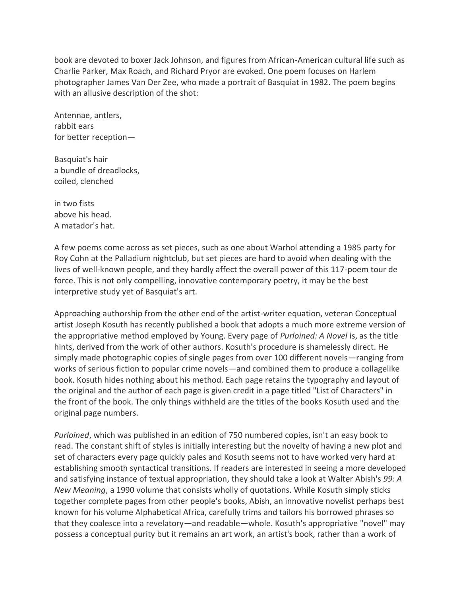book are devoted to boxer Jack Johnson, and figures from African-American cultural life such as Charlie Parker, Max Roach, and Richard Pryor are evoked. One poem focuses on Harlem photographer James Van Der Zee, who made a portrait of Basquiat in 1982. The poem begins with an allusive description of the shot:

Antennae, antlers, rabbit ears for better reception—

Basquiat's hair a bundle of dreadlocks, coiled, clenched

in two fists above his head. A matador's hat.

A few poems come across as set pieces, such as one about Warhol attending a 1985 party for Roy Cohn at the Palladium nightclub, but set pieces are hard to avoid when dealing with the lives of well-known people, and they hardly affect the overall power of this 117-poem tour de force. This is not only compelling, innovative contemporary poetry, it may be the best interpretive study yet of Basquiat's art.

Approaching authorship from the other end of the artist-writer equation, veteran Conceptual artist Joseph Kosuth has recently published a book that adopts a much more extreme version of the appropriative method employed by Young. Every page of *Purloined: A Novel* is, as the title hints, derived from the work of other authors. Kosuth's procedure is shamelessly direct. He simply made photographic copies of single pages from over 100 different novels—ranging from works of serious fiction to popular crime novels—and combined them to produce a collagelike book. Kosuth hides nothing about his method. Each page retains the typography and layout of the original and the author of each page is given credit in a page titled "List of Characters" in the front of the book. The only things withheld are the titles of the books Kosuth used and the original page numbers.

*Purloined*, which was published in an edition of 750 numbered copies, isn't an easy book to read. The constant shift of styles is initially interesting but the novelty of having a new plot and set of characters every page quickly pales and Kosuth seems not to have worked very hard at establishing smooth syntactical transitions. If readers are interested in seeing a more developed and satisfying instance of textual appropriation, they should take a look at Walter Abish's *99: A New Meaning*, a 1990 volume that consists wholly of quotations. While Kosuth simply sticks together complete pages from other people's books, Abish, an innovative novelist perhaps best known for his volume Alphabetical Africa, carefully trims and tailors his borrowed phrases so that they coalesce into a revelatory—and readable—whole. Kosuth's appropriative "novel" may possess a conceptual purity but it remains an art work, an artist's book, rather than a work of